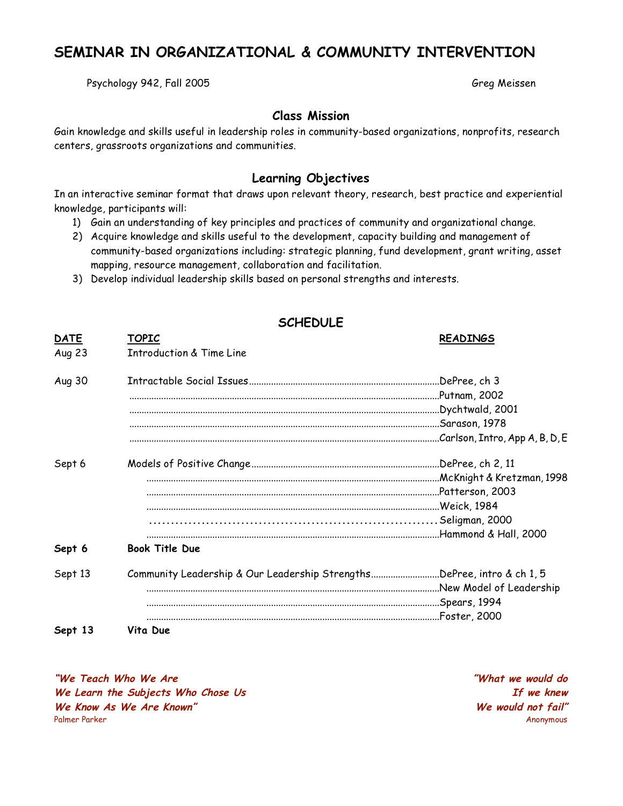# **SEMINAR IN ORGANIZATIONAL & COMMUNITY INTERVENTION**

Psychology 942, Fall 2005 Greg Meissen

## **Class Mission**

Gain knowledge and skills useful in leadership roles in community-based organizations, nonprofits, research centers, grassroots organizations and communities.

## **Learning Objectives**

In an interactive seminar format that draws upon relevant theory, research, best practice and experiential knowledge, participants will:

- 1) Gain an understanding of key principles and practices of community and organizational change.
- 2) Acquire knowledge and skills useful to the development, capacity building and management of community-based organizations including: strategic planning, fund development, grant writing, asset mapping, resource management, collaboration and facilitation.
- 3) Develop individual leadership skills based on personal strengths and interests.

|                       | <b>SCHEDULE</b>                                                        |                                                                                                                              |
|-----------------------|------------------------------------------------------------------------|------------------------------------------------------------------------------------------------------------------------------|
| <b>DATE</b><br>Aug 23 | <u>TOPIC</u><br><b>Introduction &amp; Time Line</b>                    | <b>READINGS</b>                                                                                                              |
| Aug 30                |                                                                        | .DePree, ch 3<br>Putnam, 2002.<br>Dychtwald, 2001.<br>.Sarason, 1978<br>Carlson, Intro, App A, B, D, E                       |
| Sept 6                |                                                                        | .DePree, ch 2, 11<br>McKnight & Kretzman, 1998.<br>Patterson, 2003<br>Weick, 1984<br>Seligman, 2000<br>Hammond & Hall, 2000. |
| Sept 6                | <b>Book Title Due</b>                                                  |                                                                                                                              |
| Sept 13               | Community Leadership & Our Leadership StrengthsDePree, intro & ch 1, 5 | New Model of Leadership<br>Spears, 1994.<br>Foster, 2000.                                                                    |
| Sept 13               | Vita Due                                                               |                                                                                                                              |

**"We Teach Who We Are "What we would do We Learn the Subjects Who Chose Us If we knew We Know As We Are Known" We would not fail"** Palmer Parker Anonymous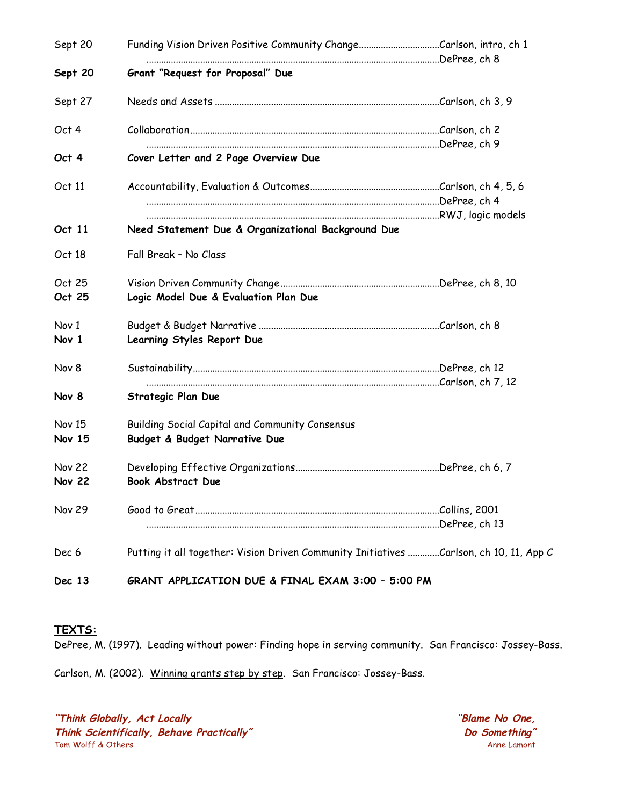| Sept 20                        |                                                                                        |  |  |
|--------------------------------|----------------------------------------------------------------------------------------|--|--|
| Sept 20                        | Grant "Request for Proposal" Due                                                       |  |  |
| Sept 27                        |                                                                                        |  |  |
| Oct 4                          |                                                                                        |  |  |
| Oct 4                          | Cover Letter and 2 Page Overview Due                                                   |  |  |
| Oct 11                         |                                                                                        |  |  |
| Oct 11                         | Need Statement Due & Organizational Background Due                                     |  |  |
| Oct 18                         | Fall Break - No Class                                                                  |  |  |
| Oct 25<br>Oct 25               | Logic Model Due & Evaluation Plan Due                                                  |  |  |
| Nov 1<br>Nov 1                 | Learning Styles Report Due                                                             |  |  |
| Nov 8<br>Nov 8                 | Strategic Plan Due                                                                     |  |  |
| <b>Nov 15</b><br><b>Nov 15</b> | Building Social Capital and Community Consensus<br>Budget & Budget Narrative Due       |  |  |
| <b>Nov 22</b><br><b>Nov 22</b> | <b>Book Abstract Due</b>                                                               |  |  |
| <b>Nov 29</b>                  |                                                                                        |  |  |
| Dec 6                          | Putting it all together: Vision Driven Community Initiatives Carlson, ch 10, 11, App C |  |  |
| Dec 13                         | GRANT APPLICATION DUE & FINAL EXAM 3:00 - 5:00 PM                                      |  |  |

#### **TEXTS:**

DePree, M. (1997). Leading without power: Finding hope in serving community. San Francisco: Jossey-Bass.

Carlson, M. (2002). Winning grants step by step. San Francisco: Jossey-Bass.

**"Think Globally, Act Locally "Blame No One, Think Scientifically, Behave Practically" Do Something"**<br>Tom Wolff & Others **Annella Communisty Communisty** Tom Wolff & Others